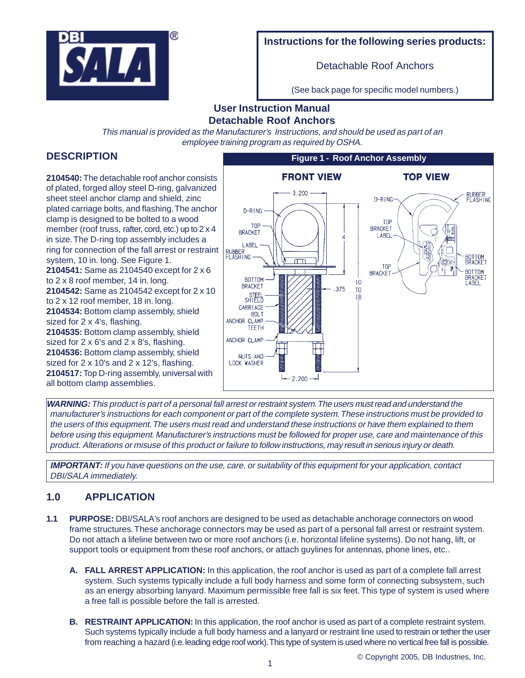

## **Instructions for the following series products:**

Detachable Roof Anchors

(See back page for specific model numbers.)

# **User Instruction Manual Detachable Roof Anchors**

This manual is provided as the Manufacturer's Instructions, and should be used as part of an employee training program as required by OSHA.

# **DESCRIPTION**

**2104540:** The detachable roof anchor consists of plated, forged alloy steel D-ring, galvanized sheet steel anchor clamp and shield, zinc plated carriage bolts, and flashing. The anchor clamp is designed to be bolted to a wood member (roof truss, rafter, cord, etc.) up to  $2 \times 4$ in size. The D-ring top assembly includes a ring for connection of the fall arrest or restraint system, 10 in. long. See Figure 1. **2104541:** Same as 2104540 except for 2 x 6 to 2 x 8 roof member, 14 in. long. **2104542:** Same as 2104542 except for 2 x 10 to 2 x 12 roof member, 18 in. long. **2104534:** Bottom clamp assembly, shield sized for 2 x 4's, flashing. **2104535:** Bottom clamp assembly, shield sized for 2 x 6's and 2 x 8's, flashing. **2104536:** Bottom clamp assembly, shield sized for 2 x 10's and 2 x 12's, flashing. **2104517:** Top D-ring assembly, universal with all bottom clamp assemblies.



**WARNING:** This product is part of a personal fall arrest or restraint system. The users must read and understand the manufacturer's instructions for each component or part of the complete system. These instructions must be provided to the users of this equipment. The users must read and understand these instructions or have them explained to them before using this equipment. Manufacturer's instructions must be followed for proper use, care and maintenance of this product. Alterations or misuse of this product or failure to follow instructions, may result in serious injury or death.

**IMPORTANT:** If you have questions on the use, care, or suitability of this equipment for your application, contact DBI/SALA immediately.

# **1.0 APPLICATION**

- **1.1 PURPOSE:** DBI/SALA's roof anchors are designed to be used as detachable anchorage connectors on wood frame structures. These anchorage connectors may be used as part of a personal fall arrest or restraint system. Do not attach a lifeline between two or more roof anchors (i.e. horizontal lifeline systems). Do not hang, lift, or support tools or equipment from these roof anchors, or attach guylines for antennas, phone lines, etc..
	- **A. FALL ARREST APPLICATION:** In this application, the roof anchor is used as part of a complete fall arrest system. Such systems typically include a full body harness and some form of connecting subsystem, such as an energy absorbing lanyard. Maximum permissible free fall is six feet. This type of system is used where a free fall is possible before the fall is arrested.
	- **B. RESTRAINT APPLICATION:** In this application, the roof anchor is used as part of a complete restraint system. Such systems typically include a full body harness and a lanyard or restraint line used to restrain or tether the user from reaching a hazard (i.e. leading edge roof work). This type of system is used where no vertical free fall is possible.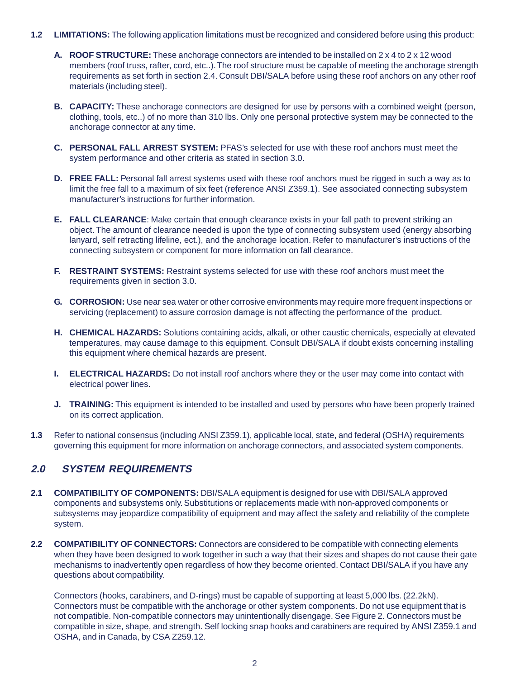- **1.2 LIMITATIONS:** The following application limitations must be recognized and considered before using this product:
	- **A. ROOF STRUCTURE:** These anchorage connectors are intended to be installed on 2 x 4 to 2 x 12 wood members (roof truss, rafter, cord, etc..). The roof structure must be capable of meeting the anchorage strength requirements as set forth in section 2.4. Consult DBI/SALA before using these roof anchors on any other roof materials (including steel).
	- **B. CAPACITY:** These anchorage connectors are designed for use by persons with a combined weight (person, clothing, tools, etc..) of no more than 310 lbs. Only one personal protective system may be connected to the anchorage connector at any time.
	- **C. PERSONAL FALL ARREST SYSTEM:** PFAS's selected for use with these roof anchors must meet the system performance and other criteria as stated in section 3.0.
	- **D. FREE FALL:** Personal fall arrest systems used with these roof anchors must be rigged in such a way as to limit the free fall to a maximum of six feet (reference ANSI Z359.1). See associated connecting subsystem manufacturer's instructions for further information.
	- **E. FALL CLEARANCE**: Make certain that enough clearance exists in your fall path to prevent striking an object. The amount of clearance needed is upon the type of connecting subsystem used (energy absorbing lanyard, self retracting lifeline, ect.), and the anchorage location. Refer to manufacturer's instructions of the connecting subsystem or component for more information on fall clearance.
	- **F. RESTRAINT SYSTEMS:** Restraint systems selected for use with these roof anchors must meet the requirements given in section 3.0.
	- **G. CORROSION:** Use near sea water or other corrosive environments may require more frequent inspections or servicing (replacement) to assure corrosion damage is not affecting the performance of the product.
	- **H. CHEMICAL HAZARDS:** Solutions containing acids, alkali, or other caustic chemicals, especially at elevated temperatures, may cause damage to this equipment. Consult DBI/SALA if doubt exists concerning installing this equipment where chemical hazards are present.
	- **I. ELECTRICAL HAZARDS:** Do not install roof anchors where they or the user may come into contact with electrical power lines.
	- **J. TRAINING:** This equipment is intended to be installed and used by persons who have been properly trained on its correct application.
- **1.3** Refer to national consensus (including ANSI Z359.1), applicable local, state, and federal (OSHA) requirements governing this equipment for more information on anchorage connectors, and associated system components.

# **2.0 SYSTEM REQUIREMENTS**

- **2.1 COMPATIBILITY OF COMPONENTS:** DBI/SALA equipment is designed for use with DBI/SALA approved components and subsystems only. Substitutions or replacements made with non-approved components or subsystems may jeopardize compatibility of equipment and may affect the safety and reliability of the complete system.
- 2.2 COMPATIBILITY OF CONNECTORS: Connectors are considered to be compatible with connecting elements when they have been designed to work together in such a way that their sizes and shapes do not cause their gate mechanisms to inadvertently open regardless of how they become oriented. Contact DBI/SALA if you have any questions about compatibility.

Connectors (hooks, carabiners, and D-rings) must be capable of supporting at least 5,000 lbs. (22.2kN). Connectors must be compatible with the anchorage or other system components. Do not use equipment that is not compatible. Non-compatible connectors may unintentionally disengage. See Figure 2. Connectors must be compatible in size, shape, and strength. Self locking snap hooks and carabiners are required by ANSI Z359.1 and OSHA, and in Canada, by CSA Z259.12.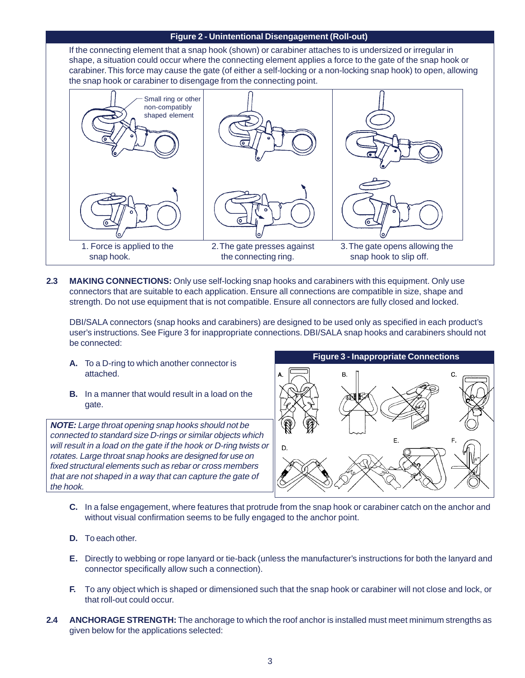### **Figure 2 - Unintentional Disengagement (Roll-out)**

If the connecting element that a snap hook (shown) or carabiner attaches to is undersized or irregular in shape, a situation could occur where the connecting element applies a force to the gate of the snap hook or carabiner. This force may cause the gate (of either a self-locking or a non-locking snap hook) to open, allowing the snap hook or carabiner to disengage from the connecting point.



**2.3 MAKING CONNECTIONS:** Only use self-locking snap hooks and carabiners with this equipment. Only use connectors that are suitable to each application. Ensure all connections are compatible in size, shape and strength. Do not use equipment that is not compatible. Ensure all connectors are fully closed and locked.

DBI/SALA connectors (snap hooks and carabiners) are designed to be used only as specified in each product's user's instructions. See Figure 3 for inappropriate connections. DBI/SALA snap hooks and carabiners should not be connected:

- **A.** To a D-ring to which another connector is attached.
- **B.** In a manner that would result in a load on the gate.

**NOTE:** Large throat opening snap hooks should not be connected to standard size D-rings or similar objects which will result in a load on the gate if the hook or D-ring twists or rotates. Large throat snap hooks are designed for use on fixed structural elements such as rebar or cross members that are not shaped in a way that can capture the gate of the hook.



- **C.** In a false engagement, where features that protrude from the snap hook or carabiner catch on the anchor and without visual confirmation seems to be fully engaged to the anchor point.
- **D.** To each other.
- **E.** Directly to webbing or rope lanyard or tie-back (unless the manufacturer's instructions for both the lanyard and connector specifically allow such a connection).
- **F.** To any object which is shaped or dimensioned such that the snap hook or carabiner will not close and lock, or that roll-out could occur.
- **2.4 ANCHORAGE STRENGTH:** The anchorage to which the roof anchor is installed must meet minimum strengths as given below for the applications selected: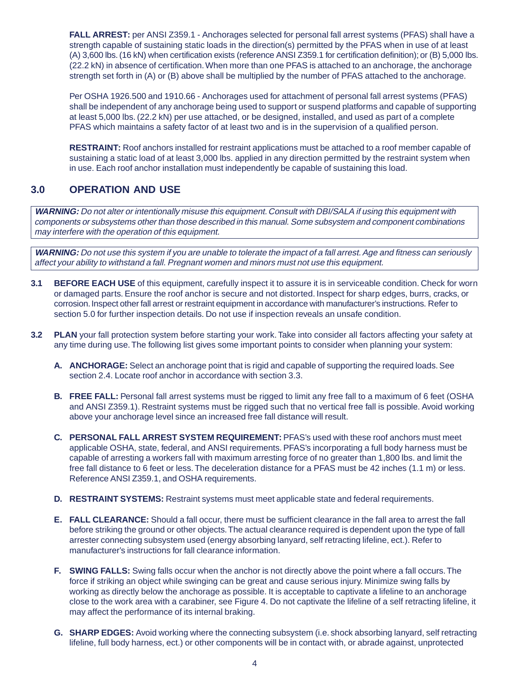**FALL ARREST:** per ANSI Z359.1 - Anchorages selected for personal fall arrest systems (PFAS) shall have a strength capable of sustaining static loads in the direction(s) permitted by the PFAS when in use of at least (A) 3,600 lbs. (16 kN) when certification exists (reference ANSI Z359.1 for certification definition); or (B) 5,000 lbs. (22.2 kN) in absence of certification. When more than one PFAS is attached to an anchorage, the anchorage strength set forth in (A) or (B) above shall be multiplied by the number of PFAS attached to the anchorage.

Per OSHA 1926.500 and 1910.66 - Anchorages used for attachment of personal fall arrest systems (PFAS) shall be independent of any anchorage being used to support or suspend platforms and capable of supporting at least 5,000 lbs. (22.2 kN) per use attached, or be designed, installed, and used as part of a complete PFAS which maintains a safety factor of at least two and is in the supervision of a qualified person.

**RESTRAINT:** Roof anchors installed for restraint applications must be attached to a roof member capable of sustaining a static load of at least 3,000 lbs. applied in any direction permitted by the restraint system when in use. Each roof anchor installation must independently be capable of sustaining this load.

# **3.0 OPERATION AND USE**

**WARNING:** Do not alter or intentionally misuse this equipment. Consult with DBI/SALA if using this equipment with components or subsystems other than those described in this manual. Some subsystem and component combinations may interfere with the operation of this equipment.

**WARNING:** Do not use this system if you are unable to tolerate the impact of a fall arrest. Age and fitness can seriously affect your ability to withstand a fall. Pregnant women and minors must not use this equipment.

- **3.1 BEFORE EACH USE** of this equipment, carefully inspect it to assure it is in serviceable condition. Check for worn or damaged parts. Ensure the roof anchor is secure and not distorted. Inspect for sharp edges, burrs, cracks, or corrosion. Inspect other fall arrest or restraint equipment in accordance with manufacturer's instructions. Refer to section 5.0 for further inspection details. Do not use if inspection reveals an unsafe condition.
- **3.2 PLAN** your fall protection system before starting your work. Take into consider all factors affecting your safety at any time during use. The following list gives some important points to consider when planning your system:
	- **A. ANCHORAGE:** Select an anchorage point that is rigid and capable of supporting the required loads. See section 2.4. Locate roof anchor in accordance with section 3.3.
	- **B. FREE FALL:** Personal fall arrest systems must be rigged to limit any free fall to a maximum of 6 feet (OSHA and ANSI Z359.1). Restraint systems must be rigged such that no vertical free fall is possible. Avoid working above your anchorage level since an increased free fall distance will result.
	- **C. PERSONAL FALL ARREST SYSTEM REQUIREMENT:** PFAS's used with these roof anchors must meet applicable OSHA, state, federal, and ANSI requirements. PFAS's incorporating a full body harness must be capable of arresting a workers fall with maximum arresting force of no greater than 1,800 lbs. and limit the free fall distance to 6 feet or less. The deceleration distance for a PFAS must be 42 inches (1.1 m) or less. Reference ANSI Z359.1, and OSHA requirements.
	- **D. RESTRAINT SYSTEMS:** Restraint systems must meet applicable state and federal requirements.
	- **E. FALL CLEARANCE:** Should a fall occur, there must be sufficient clearance in the fall area to arrest the fall before striking the ground or other objects. The actual clearance required is dependent upon the type of fall arrester connecting subsystem used (energy absorbing lanyard, self retracting lifeline, ect.). Refer to manufacturer's instructions for fall clearance information.
	- **F. SWING FALLS:** Swing falls occur when the anchor is not directly above the point where a fall occurs. The force if striking an object while swinging can be great and cause serious injury. Minimize swing falls by working as directly below the anchorage as possible. It is acceptable to captivate a lifeline to an anchorage close to the work area with a carabiner, see Figure 4. Do not captivate the lifeline of a self retracting lifeline, it may affect the performance of its internal braking.
	- **G. SHARP EDGES:** Avoid working where the connecting subsystem (i.e. shock absorbing lanyard, self retracting lifeline, full body harness, ect.) or other components will be in contact with, or abrade against, unprotected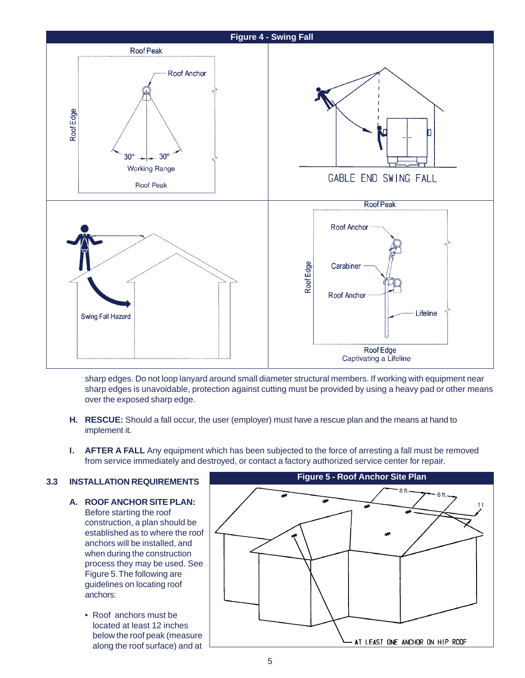

sharp edges. Do not loop lanyard around small diameter structural members. If working with equipment near sharp edges is unavoidable, protection against cutting must be provided by using a heavy pad or other means over the exposed sharp edge.

- **H. RESCUE:** Should a fall occur, the user (employer) must have a rescue plan and the means at hand to implement it.
- **I.** AFTER A FALL Any equipment which has been subjected to the force of arresting a fall must be removed from service immediately and destroyed, or contact a factory authorized service center for repair.

## **3.3 INSTALLATION REQUIREMENTS**

- **A. ROOF ANCHOR SITE PLAN:** Before starting the roof construction, a plan should be established as to where the roof anchors will be installed, and when during the construction process they may be used. See Figure 5. The following are guidelines on locating roof anchors:
	- Roof anchors must be located at least 12 inches below the roof peak (measure along the roof surface) and at

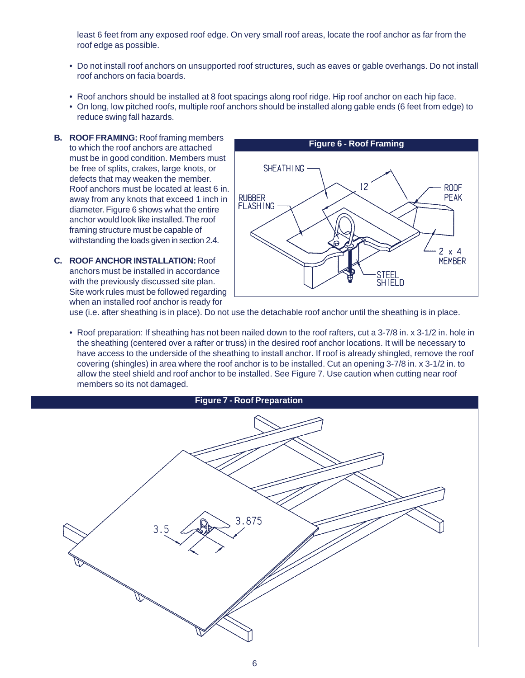least 6 feet from any exposed roof edge. On very small roof areas, locate the roof anchor as far from the roof edge as possible.

- Do not install roof anchors on unsupported roof structures, such as eaves or gable overhangs. Do not install roof anchors on facia boards.
- Roof anchors should be installed at 8 foot spacings along roof ridge. Hip roof anchor on each hip face.
- On long, low pitched roofs, multiple roof anchors should be installed along gable ends (6 feet from edge) to reduce swing fall hazards.
- **B. ROOF FRAMING:** Roof framing members to which the roof anchors are attached must be in good condition. Members must be free of splits, crakes, large knots, or defects that may weaken the member. Roof anchors must be located at least 6 in. away from any knots that exceed 1 inch in diameter. Figure 6 shows what the entire anchor would look like installed. The roof framing structure must be capable of withstanding the loads given in section 2.4.
- **C. ROOF ANCHOR INSTALLATION:** Roof anchors must be installed in accordance with the previously discussed site plan. Site work rules must be followed regarding when an installed roof anchor is ready for



use (i.e. after sheathing is in place). Do not use the detachable roof anchor until the sheathing is in place.

• Roof preparation: If sheathing has not been nailed down to the roof rafters, cut a 3-7/8 in. x 3-1/2 in. hole in the sheathing (centered over a rafter or truss) in the desired roof anchor locations. It will be necessary to have access to the underside of the sheathing to install anchor. If roof is already shingled, remove the roof covering (shingles) in area where the roof anchor is to be installed. Cut an opening 3-7/8 in. x 3-1/2 in. to allow the steel shield and roof anchor to be installed. See Figure 7. Use caution when cutting near roof members so its not damaged.

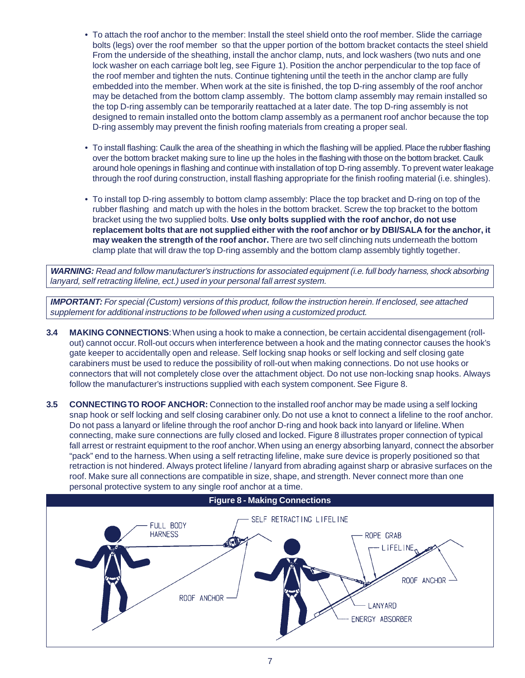- To attach the roof anchor to the member: Install the steel shield onto the roof member. Slide the carriage bolts (legs) over the roof member so that the upper portion of the bottom bracket contacts the steel shield From the underside of the sheathing, install the anchor clamp, nuts, and lock washers (two nuts and one lock washer on each carriage bolt leg, see Figure 1). Position the anchor perpendicular to the top face of the roof member and tighten the nuts. Continue tightening until the teeth in the anchor clamp are fully embedded into the member. When work at the site is finished, the top D-ring assembly of the roof anchor may be detached from the bottom clamp assembly. The bottom clamp assembly may remain installed so the top D-ring assembly can be temporarily reattached at a later date. The top D-ring assembly is not designed to remain installed onto the bottom clamp assembly as a permanent roof anchor because the top D-ring assembly may prevent the finish roofing materials from creating a proper seal.
- To install flashing: Caulk the area of the sheathing in which the flashing will be applied. Place the rubber flashing over the bottom bracket making sure to line up the holes in the flashing with those on the bottom bracket. Caulk around hole openings in flashing and continue with installation of top D-ring assembly. To prevent water leakage through the roof during construction, install flashing appropriate for the finish roofing material (i.e. shingles).
- To install top D-ring assembly to bottom clamp assembly: Place the top bracket and D-ring on top of the rubber flashing and match up with the holes in the bottom bracket. Screw the top bracket to the bottom bracket using the two supplied bolts. **Use only bolts supplied with the roof anchor, do not use replacement bolts that are not supplied either with the roof anchor or by DBI/SALA for the anchor, it may weaken the strength of the roof anchor.** There are two self clinching nuts underneath the bottom clamp plate that will draw the top D-ring assembly and the bottom clamp assembly tightly together.

**WARNING:** Read and follow manufacturer's instructions for associated equipment (i.e. full body harness, shock absorbing lanyard, self retracting lifeline, ect.) used in your personal fall arrest system.

**IMPORTANT:** For special (Custom) versions of this product, follow the instruction herein. If enclosed, see attached supplement for additional instructions to be followed when using a customized product.

- **3.4 MAKING CONNECTIONS**: When using a hook to make a connection, be certain accidental disengagement (rollout) cannot occur. Roll-out occurs when interference between a hook and the mating connector causes the hook's gate keeper to accidentally open and release. Self locking snap hooks or self locking and self closing gate carabiners must be used to reduce the possibility of roll-out when making connections. Do not use hooks or connectors that will not completely close over the attachment object. Do not use non-locking snap hooks. Always follow the manufacturer's instructions supplied with each system component. See Figure 8.
- **3.5 CONNECTING TO ROOF ANCHOR:** Connection to the installed roof anchor may be made using a self locking snap hook or self locking and self closing carabiner only. Do not use a knot to connect a lifeline to the roof anchor. Do not pass a lanyard or lifeline through the roof anchor D-ring and hook back into lanyard or lifeline. When connecting, make sure connections are fully closed and locked. Figure 8 illustrates proper connection of typical fall arrest or restraint equipment to the roof anchor. When using an energy absorbing lanyard, connect the absorber "pack" end to the harness. When using a self retracting lifeline, make sure device is properly positioned so that retraction is not hindered. Always protect lifeline / lanyard from abrading against sharp or abrasive surfaces on the roof. Make sure all connections are compatible in size, shape, and strength. Never connect more than one personal protective system to any single roof anchor at a time.

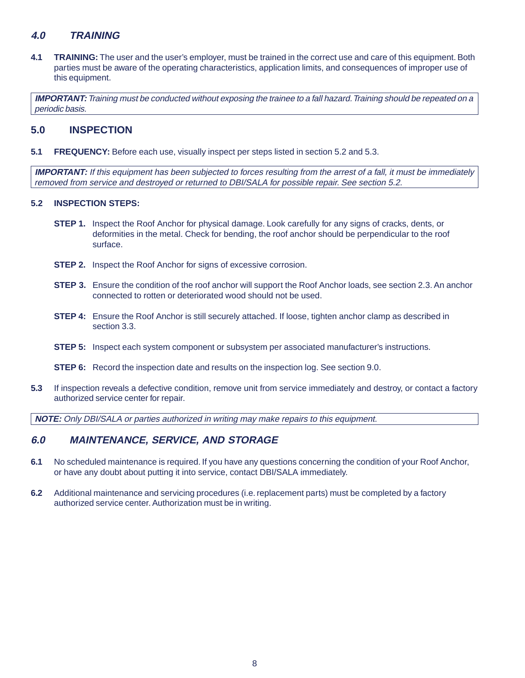## **4.0 TRAINING**

**4.1 TRAINING:** The user and the user's employer, must be trained in the correct use and care of this equipment. Both parties must be aware of the operating characteristics, application limits, and consequences of improper use of this equipment.

**IMPORTANT:** Training must be conducted without exposing the trainee to a fall hazard. Training should be repeated on a periodic basis.

## **5.0 INSPECTION**

**5.1 FREQUENCY:** Before each use, visually inspect per steps listed in section 5.2 and 5.3.

**IMPORTANT:** If this equipment has been subjected to forces resulting from the arrest of a fall, it must be immediately removed from service and destroyed or returned to DBI/SALA for possible repair. See section 5.2.

#### **5.2 INSPECTION STEPS:**

- **STEP 1.** Inspect the Roof Anchor for physical damage. Look carefully for any signs of cracks, dents, or deformities in the metal. Check for bending, the roof anchor should be perpendicular to the roof surface.
- **STEP 2.** Inspect the Roof Anchor for signs of excessive corrosion.
- **STEP 3.** Ensure the condition of the roof anchor will support the Roof Anchor loads, see section 2.3. An anchor connected to rotten or deteriorated wood should not be used.
- **STEP 4:** Ensure the Roof Anchor is still securely attached. If loose, tighten anchor clamp as described in section 3.3.
- **STEP 5:** Inspect each system component or subsystem per associated manufacturer's instructions.
- **STEP 6:** Record the inspection date and results on the inspection log. See section 9.0.
- **5.3** If inspection reveals a defective condition, remove unit from service immediately and destroy, or contact a factory authorized service center for repair.

**NOTE:** Only DBI/SALA or parties authorized in writing may make repairs to this equipment.

## **6.0 MAINTENANCE, SERVICE, AND STORAGE**

- **6.1** No scheduled maintenance is required. If you have any questions concerning the condition of your Roof Anchor, or have any doubt about putting it into service, contact DBI/SALA immediately.
- **6.2** Additional maintenance and servicing procedures (i.e. replacement parts) must be completed by a factory authorized service center. Authorization must be in writing.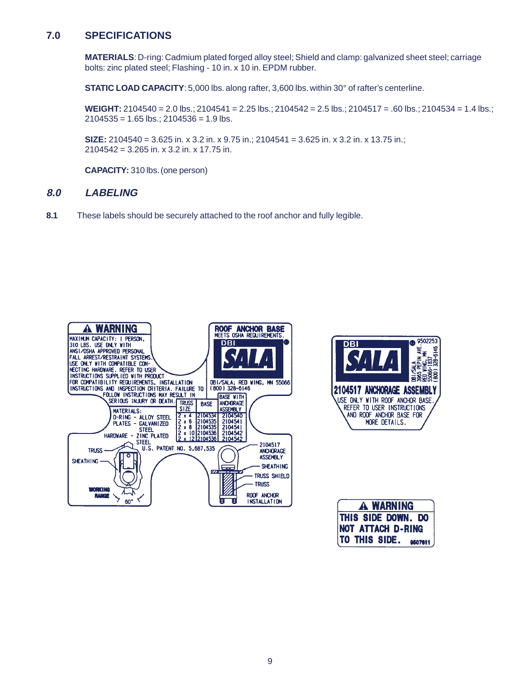## **7.0 SPECIFICATIONS**

**MATERIALS**: D-ring: Cadmium plated forged alloy steel; Shield and clamp: galvanized sheet steel; carriage bolts: zinc plated steel; Flashing - 10 in. x 10 in. EPDM rubber.

**STATIC LOAD CAPACITY:** 5,000 lbs. along rafter, 3,600 lbs. within 30° of rafter's centerline.

**WEIGHT:** 2104540 = 2.0 lbs.; 2104541 = 2.25 lbs.; 2104542 = 2.5 lbs.; 2104517 = .60 lbs.; 2104534 = 1.4 lbs.;  $2104535 = 1.65$  lbs.;  $2104536 = 1.9$  lbs.

**SIZE:** 2104540 = 3.625 in. x 3.2 in. x 9.75 in.; 2104541 = 3.625 in. x 3.2 in. x 13.75 in.; 2104542 = 3.265 in. x 3.2 in. x 17.75 in.

**CAPACITY:** 310 lbs. (one person)

## **8.0 LABELING**

**8.1** These labels should be securely attached to the roof anchor and fully legible.





| <b>A WARNING</b>               |  |  |  |  |
|--------------------------------|--|--|--|--|
| THIS SIDE DOWN. DO             |  |  |  |  |
| <b>NOT ATTACH D-RING</b>       |  |  |  |  |
| <b>TO THIS SIDE.</b> $9507611$ |  |  |  |  |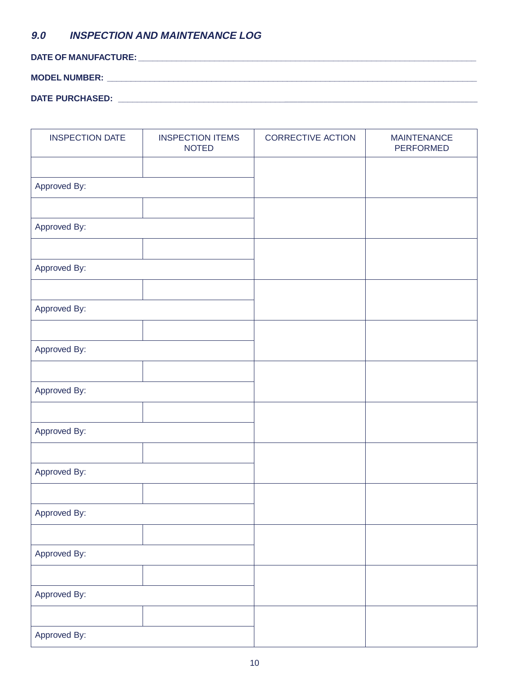# **9.0 INSPECTION AND MAINTENANCE LOG**

**DATE OF MANUFACTURE: \_\_\_\_\_\_\_\_\_\_\_\_\_\_\_\_\_\_\_\_\_\_\_\_\_\_\_\_\_\_\_\_\_\_\_\_\_\_\_\_\_\_\_\_\_\_\_\_\_\_\_\_\_\_\_\_\_\_\_\_\_\_\_\_\_\_\_\_\_\_\_**

## **MODEL NUMBER: \_\_\_\_\_\_\_\_\_\_\_\_\_\_\_\_\_\_\_\_\_\_\_\_\_\_\_\_\_\_\_\_\_\_\_\_\_\_\_\_\_\_\_\_\_\_\_\_\_\_\_\_\_\_\_\_\_\_\_\_\_\_\_\_\_\_\_\_\_\_\_\_\_\_\_\_\_\_**

## **DATE PURCHASED: \_\_\_\_\_\_\_\_\_\_\_\_\_\_\_\_\_\_\_\_\_\_\_\_\_\_\_\_\_\_\_\_\_\_\_**\_\_\_\_\_\_\_\_\_\_\_\_\_\_\_\_\_\_\_\_\_\_\_\_\_\_\_\_\_\_\_\_\_\_\_\_\_\_\_\_\_\_\_\_\_

| <b>INSPECTION DATE</b> | <b>INSPECTION ITEMS</b><br><b>NOTED</b> | <b>CORRECTIVE ACTION</b> | <b>MAINTENANCE</b><br>PERFORMED |
|------------------------|-----------------------------------------|--------------------------|---------------------------------|
|                        |                                         |                          |                                 |
| Approved By:           |                                         |                          |                                 |
|                        |                                         |                          |                                 |
| Approved By:           |                                         |                          |                                 |
|                        |                                         |                          |                                 |
| Approved By:           |                                         |                          |                                 |
|                        |                                         |                          |                                 |
| Approved By:           |                                         |                          |                                 |
|                        |                                         |                          |                                 |
| Approved By:           |                                         |                          |                                 |
| Approved By:           |                                         |                          |                                 |
|                        |                                         |                          |                                 |
| Approved By:           |                                         |                          |                                 |
|                        |                                         |                          |                                 |
| Approved By:           |                                         |                          |                                 |
|                        |                                         |                          |                                 |
| Approved By:           |                                         |                          |                                 |
|                        |                                         |                          |                                 |
| Approved By:           |                                         |                          |                                 |
|                        |                                         |                          |                                 |
| Approved By:           |                                         |                          |                                 |
|                        |                                         |                          |                                 |
| Approved By:           |                                         |                          |                                 |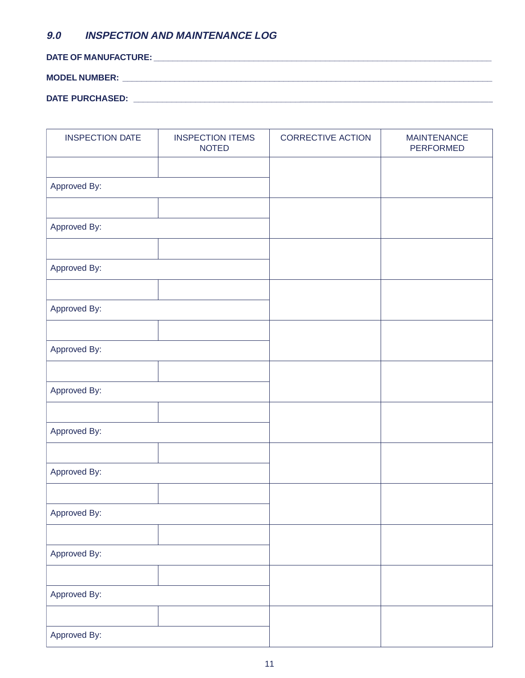# **9.0 INSPECTION AND MAINTENANCE LOG**

**DATE OF MANUFACTURE: \_\_\_\_\_\_\_\_\_\_\_\_\_\_\_\_\_\_\_\_\_\_\_\_\_\_\_\_\_\_\_\_\_\_\_\_\_\_\_\_\_\_\_\_\_\_\_\_\_\_\_\_\_\_\_\_\_\_\_\_\_\_\_\_\_\_\_\_\_\_\_**

**MODEL NUMBER: \_\_\_\_\_\_\_\_\_\_\_\_\_\_\_\_\_\_\_\_\_\_\_\_\_\_\_\_\_\_\_\_\_\_\_\_\_\_\_\_\_\_\_\_\_\_\_\_\_\_\_\_\_\_\_\_\_\_\_\_\_\_\_\_\_\_\_\_\_\_\_\_\_\_\_\_\_\_**

| <b>DATE PURCHASED:</b> |  |
|------------------------|--|
|------------------------|--|

| <b>INSPECTION DATE</b> | <b>INSPECTION ITEMS</b><br><b>NOTED</b> | <b>CORRECTIVE ACTION</b> | <b>MAINTENANCE</b><br><b>PERFORMED</b> |
|------------------------|-----------------------------------------|--------------------------|----------------------------------------|
|                        |                                         |                          |                                        |
| Approved By:           |                                         |                          |                                        |
|                        |                                         |                          |                                        |
| Approved By:           |                                         |                          |                                        |
|                        |                                         |                          |                                        |
| Approved By:           |                                         |                          |                                        |
|                        |                                         |                          |                                        |
| Approved By:           |                                         |                          |                                        |
|                        |                                         |                          |                                        |
| Approved By:           |                                         |                          |                                        |
|                        |                                         |                          |                                        |
| Approved By:           |                                         |                          |                                        |
|                        |                                         |                          |                                        |
| Approved By:           |                                         |                          |                                        |
|                        |                                         |                          |                                        |
| Approved By:           |                                         |                          |                                        |
|                        |                                         |                          |                                        |
| Approved By:           |                                         |                          |                                        |
|                        |                                         |                          |                                        |
| Approved By:           |                                         |                          |                                        |
|                        |                                         |                          |                                        |
| Approved By:           |                                         |                          |                                        |
|                        |                                         |                          |                                        |
| Approved By:           |                                         |                          |                                        |

<u> 1989 - Johann Stoff, deutscher Stoff, deutscher Stoff, der Stoff, der Stoff, der Stoff, der Stoff, der Stoff</u>